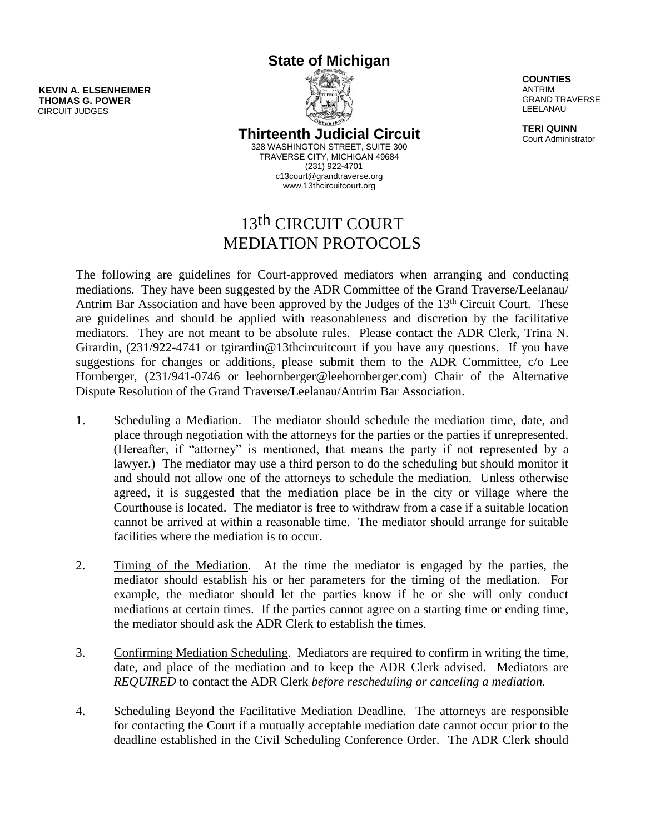**State of Michigan**

**KEVIN A. ELSENHEIMER THOMAS G. POWER** CIRCUIT JUDGES



**Thirteenth Judicial Circuit** 328 WASHINGTON STREET, SUITE 300

TRAVERSE CITY, MICHIGAN 49684 (231) 922-4701 c13court@grandtraverse.org www.13thcircuitcourt.org

## 13th CIRCUIT COURT MEDIATION PROTOCOLS

The following are guidelines for Court-approved mediators when arranging and conducting mediations. They have been suggested by the ADR Committee of the Grand Traverse/Leelanau/ Antrim Bar Association and have been approved by the Judges of the 13<sup>th</sup> Circuit Court. These are guidelines and should be applied with reasonableness and discretion by the facilitative mediators. They are not meant to be absolute rules. Please contact the ADR Clerk, Trina N. Girardin, (231/922-4741 or tgirardin@13thcircuitcourt if you have any questions. If you have suggestions for changes or additions, please submit them to the ADR Committee, c/o Lee Hornberger, (231/941-0746 or leehornberger@leehornberger.com) Chair of the Alternative Dispute Resolution of the Grand Traverse/Leelanau/Antrim Bar Association.

- 1. Scheduling a Mediation. The mediator should schedule the mediation time, date, and place through negotiation with the attorneys for the parties or the parties if unrepresented. (Hereafter, if "attorney" is mentioned, that means the party if not represented by a lawyer.) The mediator may use a third person to do the scheduling but should monitor it and should not allow one of the attorneys to schedule the mediation. Unless otherwise agreed, it is suggested that the mediation place be in the city or village where the Courthouse is located. The mediator is free to withdraw from a case if a suitable location cannot be arrived at within a reasonable time. The mediator should arrange for suitable facilities where the mediation is to occur.
- 2. Timing of the Mediation. At the time the mediator is engaged by the parties, the mediator should establish his or her parameters for the timing of the mediation. For example, the mediator should let the parties know if he or she will only conduct mediations at certain times. If the parties cannot agree on a starting time or ending time, the mediator should ask the ADR Clerk to establish the times.
- 3. Confirming Mediation Scheduling. Mediators are required to confirm in writing the time, date, and place of the mediation and to keep the ADR Clerk advised. Mediators are *REQUIRED* to contact the ADR Clerk *before rescheduling or canceling a mediation.*
- 4. Scheduling Beyond the Facilitative Mediation Deadline. The attorneys are responsible for contacting the Court if a mutually acceptable mediation date cannot occur prior to the deadline established in the Civil Scheduling Conference Order. The ADR Clerk should

**COUNTIES** ANTRIM GRAND TRAVERSE LEELANAU

**TERI QUINN** Court Administrator